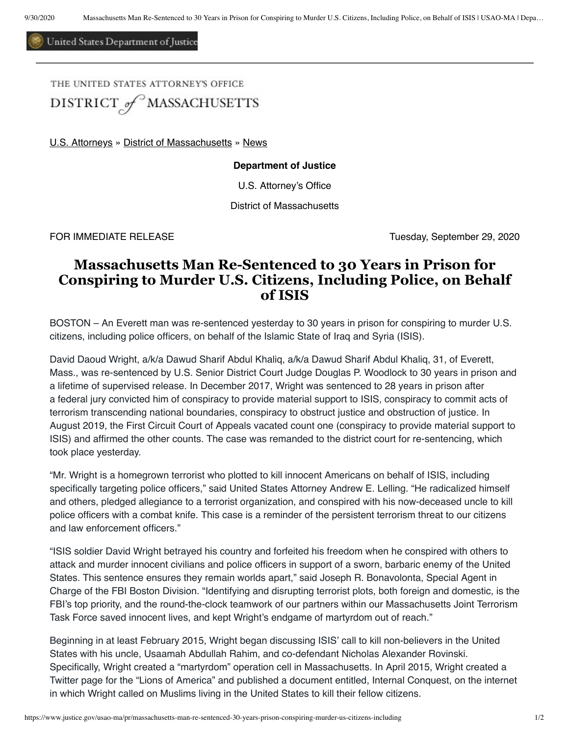United States Department of Justice

THE UNITED STATES ATTORNEY'S OFFICE DISTRICT of MASSACHUSETTS

[U.S. Attorneys](https://www.justice.gov/usao) » [District of Massachusetts](https://www.justice.gov/usao-ma) » [News](https://www.justice.gov/usao-ma/pr)

## **Department of Justice**

U.S. Attorney's Office

District of Massachusetts

FOR IMMEDIATE RELEASE Tuesday, September 29, 2020

## **Massachusetts Man Re-Sentenced to 30 Years in Prison for Conspiring to Murder U.S. Citizens, Including Police, on Behalf of ISIS**

BOSTON – An Everett man was re-sentenced yesterday to 30 years in prison for conspiring to murder U.S. citizens, including police officers, on behalf of the Islamic State of Iraq and Syria (ISIS).

David Daoud Wright, a/k/a Dawud Sharif Abdul Khaliq, a/k/a Dawud Sharif Abdul Khaliq, 31, of Everett, Mass., was re-sentenced by U.S. Senior District Court Judge Douglas P. Woodlock to 30 years in prison and a lifetime of supervised release. In December 2017, Wright was sentenced to 28 years in prison after a federal jury convicted him of conspiracy to provide material support to ISIS, conspiracy to commit acts of terrorism transcending national boundaries, conspiracy to obstruct justice and obstruction of justice. In August 2019, the First Circuit Court of Appeals vacated count one (conspiracy to provide material support to ISIS) and affirmed the other counts. The case was remanded to the district court for re-sentencing, which took place yesterday.

"Mr. Wright is a homegrown terrorist who plotted to kill innocent Americans on behalf of ISIS, including specifically targeting police officers," said United States Attorney Andrew E. Lelling. "He radicalized himself and others, pledged allegiance to a terrorist organization, and conspired with his now-deceased uncle to kill police officers with a combat knife. This case is a reminder of the persistent terrorism threat to our citizens and law enforcement officers."

"ISIS soldier David Wright betrayed his country and forfeited his freedom when he conspired with others to attack and murder innocent civilians and police officers in support of a sworn, barbaric enemy of the United States. This sentence ensures they remain worlds apart," said Joseph R. Bonavolonta, Special Agent in Charge of the FBI Boston Division. "Identifying and disrupting terrorist plots, both foreign and domestic, is the FBI's top priority, and the round-the-clock teamwork of our partners within our Massachusetts Joint Terrorism Task Force saved innocent lives, and kept Wright's endgame of martyrdom out of reach."

Beginning in at least February 2015, Wright began discussing ISIS' call to kill non-believers in the United States with his uncle, Usaamah Abdullah Rahim, and co-defendant Nicholas Alexander Rovinski. Specifically, Wright created a "martyrdom" operation cell in Massachusetts. In April 2015, Wright created a Twitter page for the "Lions of America" and published a document entitled, Internal Conquest, on the internet in which Wright called on Muslims living in the United States to kill their fellow citizens.